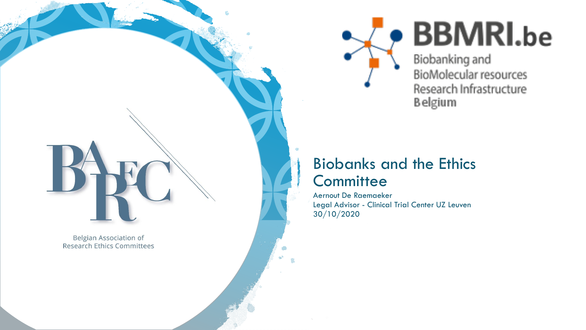

# **BBMRI.be**

Biobanking and BioMolecular resources Research Infrastructure **Belgium** 

### Biobanks and the Ethics **Committee**

Aernout De Raemaeker Legal Advisor - Clinical Trial Center UZ Leuven 30/10/2020

**Belgian Association of Research Ethics Committees**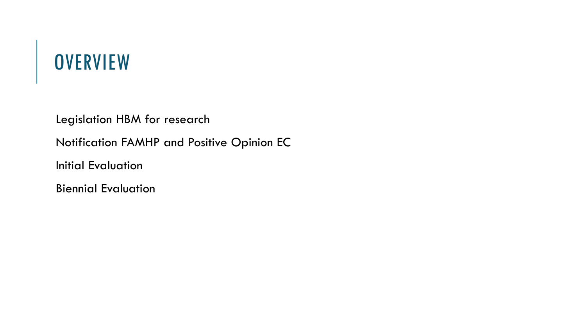## **OVERVIEW**

Legislation HBM for research Notification FAMHP and Positive Opinion EC Initial Evaluation

Biennial Evaluation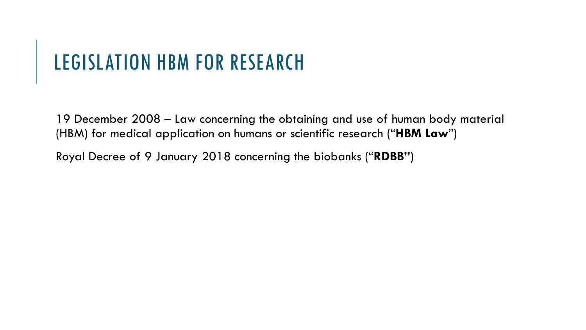### LEGISLATION HBM FOR RESEARCH

19 December 2008 – Law concerning the obtaining and use of human body material (HBM) for medical application on humans or scientific research ("**HBM Law**")

Royal Decree of 9 January 2018 concerning the biobanks ("**RDBB"**)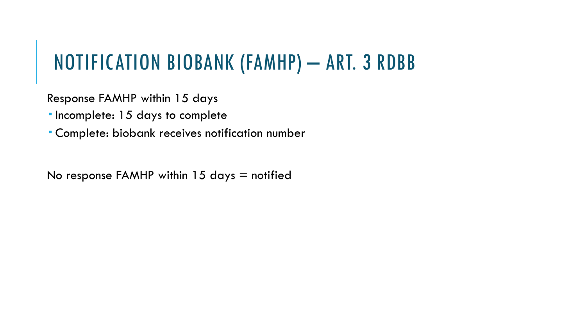## NOTIFICATION BIOBANK (FAMHP) – ART. 3 RDBB

Response FAMHP within 15 days

Incomplete: 15 days to complete

Complete: biobank receives notification number

No response FAMHP within 15 days  $=$  notified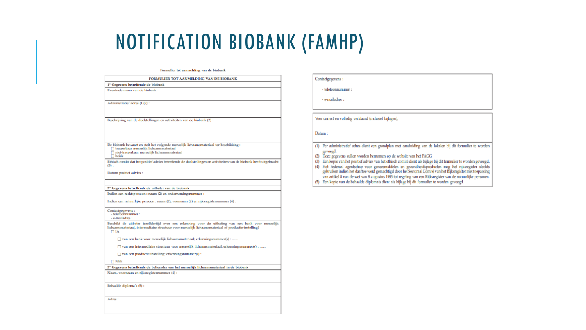### NOTIFICATION BIOBANK (FAMHP)

### Formulier tot aanmelding van de biobank

### FORMULIER TOT AANMELDING VAN DE BIOBANK

1° Gegevens betreffende de biobank

Eventuele naam van de biobank

Administratief adres (1)(2)

Beschrijving van de doelstellingen en activiteiten van de biobank (2)

De biobank bewaart en stelt het volgende menselijk lichaamsmateriaal ter beschikking:  $\Box$  traceerbaar menselijk lichaamsmateriaal

 $\Box$  niet-traceerbaar menselijk lichaamsmateriaal

 $\overline{\Box}$  beide

Ethisch comité dat het positief advies betreffende de doelstellingen en activiteiten van de biobank heeft uitgebracht  $(3)$ :

Datum positief advies :

### 2° Gegevens betreffende de uitbater van de biobank

Indien een rechtspersoon : naam (2) en ondernemingsnummer

Indien een natuurlijke persoon : naam (2), voornaam (2) en rijksregisternummer (4) :

Contactgegevens :

- telefoonnummer: - e-mailadres :

Beschikt de uitbater tezelfdertijd over een erkenning voor de uitbating van een bank voor menselijk lichaamsmateriaal, intermediaire structuur voor menselijk lichaamsmateriaal of productie-instelling?  $\Box$  JA

□ van een bank voor menselijk lichaamsmateriaal; erkenningsnummer(s) : .......

 $\Box$  van een intermediaire structuur voor menselijk lichaamsmateriaal; erkenningsnummer(s) : .......

□ van een productie-instelling; erkenningsnummer(s) : ......

 $\Box$  NEE

3° Gegevens betreffende de beheerder van het menselijk lichaamsmateriaal in de biobank

Naam, voornaam en rijksregisternummer (4)

Behaalde diploma's (5)

Adres:

### Contactgegevens

- telefoonnummer :

- e-mailadres

Voor correct en volledig verklaard (inclusief bijlagen),

Datum:

(1) Per administratief adres dient een grondplan met aanduiding van de lokalen bij dit formulier te worden gevoegd.

- (2) Deze gegevens zullen worden hernomen op de website van het FAGG.
- (3) Een kopie van het positief advies van het ethisch comité dient als bijlage bij dit formulier te worden gevoegd.
- (4) Het Federaal agentschap voor geneesmiddelen en gezondheidsproducten mag het rijksregister slechts gebruiken indien het daartoe werd gemachtigd door het Sectoraal Comité van het Rijksregister met toepassing van artikel 8 van de wet van 8 augustus 1983 tot regeling van een Rijksregister van de natuurlijke personen.
- (5) Een kopie van de behaalde diploma's dient als bijlage bij dit formulier te worden gevoegd.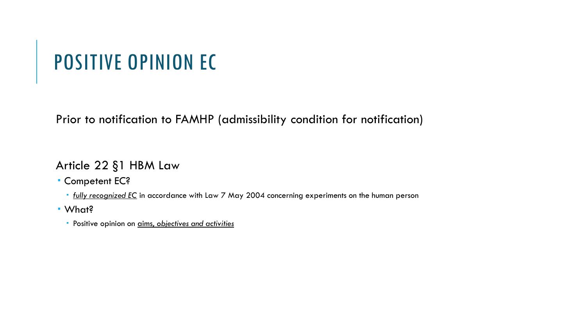## POSITIVE OPINION EC

Prior to notification to FAMHP (admissibility condition for notification)

Article 22 §1 HBM Law

Competent EC?

*fully recognized EC* in accordance with Law 7 May 2004 concerning experiments on the human person

What?

Positive opinion on aims, *objectives and activities*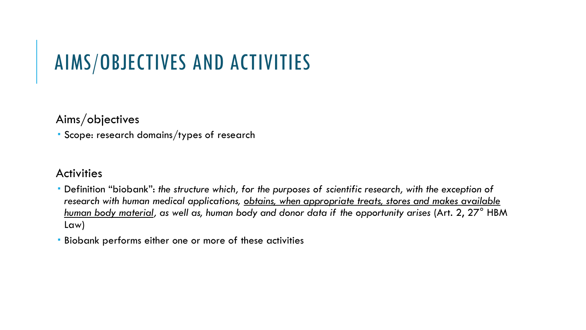## AIMS/OBJECTIVES AND ACTIVITIES

### Aims/objectives

Scope: research domains/types of research

### **Activities**

- Definition "biobank": *the structure which, for the purposes of scientific research, with the exception of research with human medical applications, obtains, when appropriate treats, stores and makes available human body material, as well as, human body and donor data if the opportunity arises* (Art. 2, 27° HBM Law)
- Biobank performs either one or more of these activities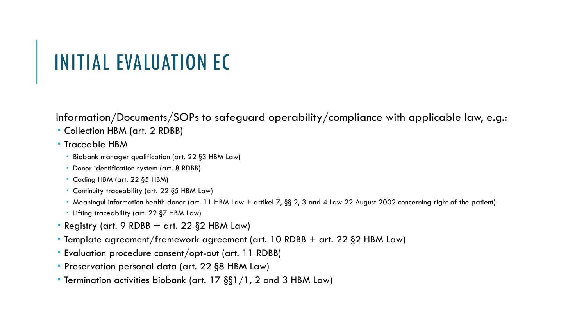### INITIAL EVALUATION EC

Information/Documents/SOPs to safeguard operability/compliance with applicable law, e.g.:

- Collection HBM (art. 2 RDBB)
- **Traceable HBM** 
	- Biobank manager qualification (art. 22 §3 HBM Law)
	- Donor identification system (art. 8 RDBB)
	- Coding HBM (art. 22 §5 HBM)
	- Continuity traceability (art. 22 §5 HBM Law)
	- Meaningul information health donor (art. 11 HBM Law + artikel 7, §§ 2, 3 and 4 Law 22 August 2002 concerning right of the patient)
	- Lifting traceability (art. 22 §7 HBM Law)
- **Registry (art. 9 RDBB + art. 22**  $\S$ **2 HBM Law)**
- Template agreement/framework agreement (art. 10 RDBB + art. 22 §2 HBM Law)
- Evaluation procedure consent/opt-out (art. 11 RDBB)
- Preservation personal data (art. 22 §8 HBM Law)
- Termination activities biobank (art. 17 §§1/1, 2 and 3 HBM Law)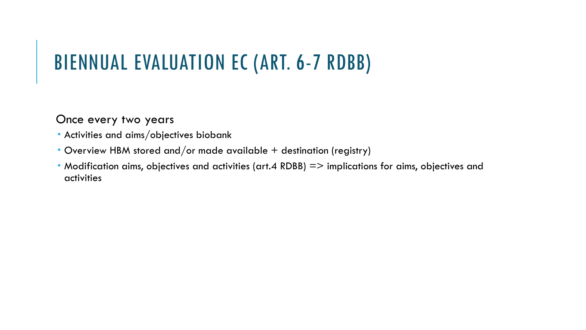## BIENNUAL EVALUATION EC (ART. 6-7 RDBB)

### Once every two years

- Activities and aims/objectives biobank
- Overview HBM stored and/or made available + destination (registry)
- Modification aims, objectives and activities (art.4 RDBB) => implications for aims, objectives and activities